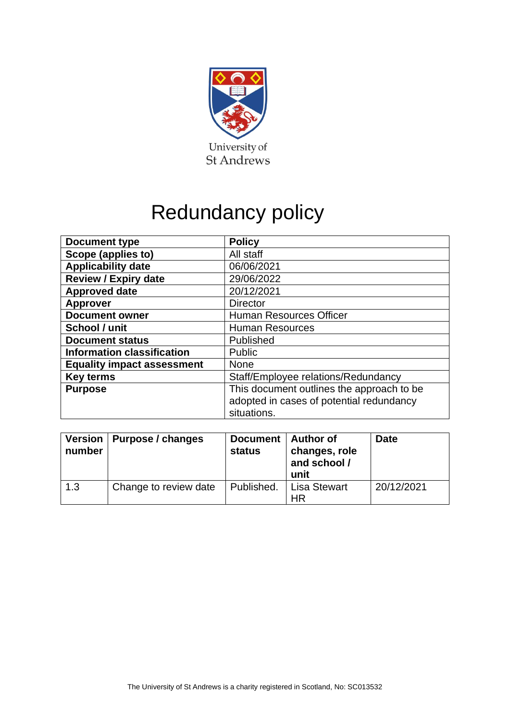

# Redundancy policy

| Document type                     | <b>Policy</b>                             |  |  |
|-----------------------------------|-------------------------------------------|--|--|
| Scope (applies to)                | All staff                                 |  |  |
| <b>Applicability date</b>         | 06/06/2021                                |  |  |
| <b>Review / Expiry date</b>       | 29/06/2022                                |  |  |
| <b>Approved date</b>              | 20/12/2021                                |  |  |
| <b>Approver</b>                   | <b>Director</b>                           |  |  |
| <b>Document owner</b>             | Human Resources Officer                   |  |  |
| School / unit                     | <b>Human Resources</b>                    |  |  |
| <b>Document status</b>            | Published                                 |  |  |
| <b>Information classification</b> | Public                                    |  |  |
| <b>Equality impact assessment</b> | <b>None</b>                               |  |  |
| <b>Key terms</b>                  | Staff/Employee relations/Redundancy       |  |  |
| <b>Purpose</b>                    | This document outlines the approach to be |  |  |
|                                   | adopted in cases of potential redundancy  |  |  |
|                                   | situations.                               |  |  |

| number | Version   Purpose / changes | Document  <br>status | Author of<br>changes, role<br>and school /<br>unit | <b>Date</b> |
|--------|-----------------------------|----------------------|----------------------------------------------------|-------------|
| 1.3    | Change to review date       | Published.           | <b>Lisa Stewart</b><br>HR                          | 20/12/2021  |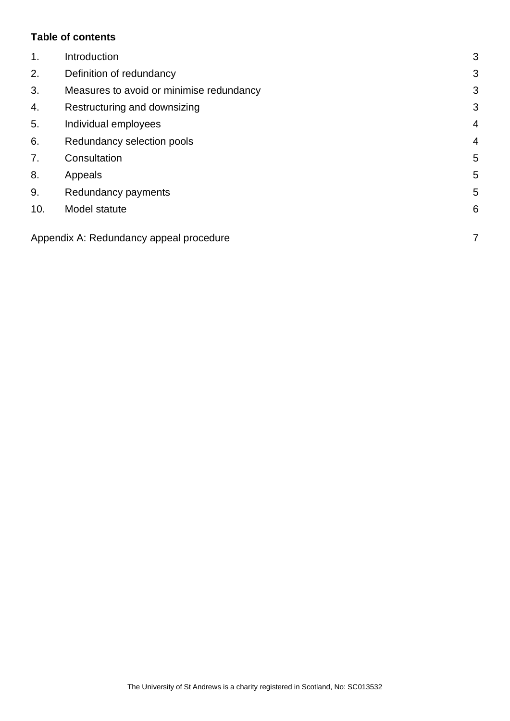## **Table of contents**

| 1.  | Introduction                             | 3              |
|-----|------------------------------------------|----------------|
| 2.  | Definition of redundancy                 | 3              |
| 3.  | Measures to avoid or minimise redundancy | 3              |
| 4.  | Restructuring and downsizing             | 3              |
| 5.  | Individual employees                     | $\overline{4}$ |
| 6.  | Redundancy selection pools               | $\overline{4}$ |
| 7.  | Consultation                             | 5              |
| 8.  | Appeals                                  | 5              |
| 9.  | Redundancy payments                      | 5              |
| 10. | Model statute                            | 6              |
|     | Appendix A: Redundancy appeal procedure  | 7              |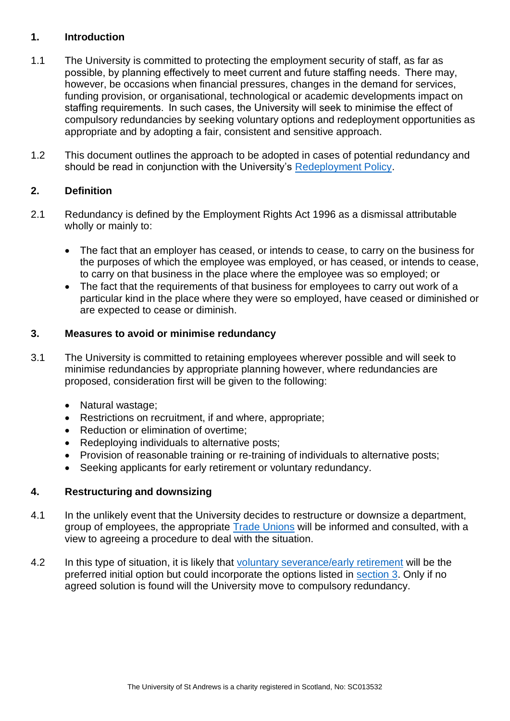#### <span id="page-2-0"></span>**1. Introduction**

- 1.1 The University is committed to protecting the employment security of staff, as far as possible, by planning effectively to meet current and future staffing needs.  There may, however, be occasions when financial pressures, changes in the demand for services, funding provision, or organisational, technological or academic developments impact on staffing requirements.  In such cases, the University will seek to minimise the effect of compulsory redundancies by seeking voluntary options and redeployment opportunities as appropriate and by adopting a fair, consistent and sensitive approach.
- 1.2 This document outlines the approach to be adopted in cases of potential redundancy and should be read in conjunction with the University's [Redeployment Policy.](https://www.st-andrews.ac.uk/policy/staff-employee-relations-redeployment/redeployment-policy.pdf)

## <span id="page-2-1"></span>**2. Definition**

- 2.1 Redundancy is defined by the Employment Rights Act 1996 as a dismissal attributable wholly or mainly to:
	- The fact that an employer has ceased, or intends to cease, to carry on the business for the purposes of which the employee was employed, or has ceased, or intends to cease, to carry on that business in the place where the employee was so employed; or
	- The fact that the requirements of that business for employees to carry out work of a particular kind in the place where they were so employed, have ceased or diminished or are expected to cease or diminish.

#### <span id="page-2-2"></span>**3. Measures to avoid or minimise redundancy**

- 3.1 The University is committed to retaining employees wherever possible and will seek to minimise redundancies by appropriate planning however, where redundancies are proposed, consideration first will be given to the following:
	- Natural wastage;
	- Restrictions on recruitment, if and where, appropriate;
	- Reduction or elimination of overtime;
	- Redeploying individuals to alternative posts;
	- Provision of reasonable training or re-training of individuals to alternative posts;
	- Seeking applicants for early retirement or voluntary redundancy.

## <span id="page-2-3"></span>**4. Restructuring and downsizing**

- 4.1 In the unlikely event that the University decides to restructure or downsize a department, group of employees, the appropriate [Trade Unions](https://www.st-andrews.ac.uk/staff/wellbeing/community/support/tradeunionrepresentatives/) will be informed and consulted, with a view to agreeing a procedure to deal with the situation.
- 4.2 In this type of situation, it is likely that [voluntary severance/early retirement](https://www.st-andrews.ac.uk/policy/staff-employee-relations-severance/voluntary-severance-scheme.pdf) will be the preferred initial option but could incorporate the options listed in [section 3.](#page-2-2) Only if no agreed solution is found will the University move to compulsory redundancy.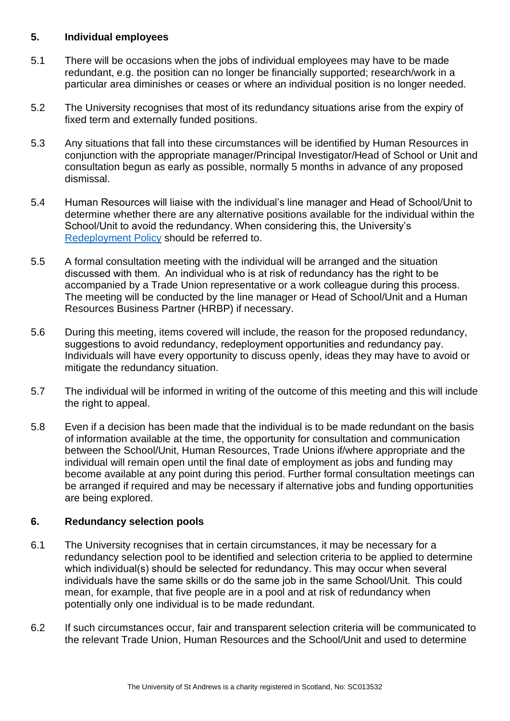#### <span id="page-3-0"></span>**5. Individual employees**

- 5.1 There will be occasions when the jobs of individual employees may have to be made redundant, e.g. the position can no longer be financially supported; research/work in a particular area diminishes or ceases or where an individual position is no longer needed.
- 5.2 The University recognises that most of its redundancy situations arise from the expiry of fixed term and externally funded positions.
- 5.3 Any situations that fall into these circumstances will be identified by Human Resources in conjunction with the appropriate manager/Principal Investigator/Head of School or Unit and consultation begun as early as possible, normally 5 months in advance of any proposed dismissal.
- 5.4 Human Resources will liaise with the individual's line manager and Head of School/Unit to determine whether there are any alternative positions available for the individual within the School/Unit to avoid the redundancy. When considering this, the University's [Redeployment Policy](https://www.st-andrews.ac.uk/policy/staff-employee-relations-redeployment/redeployment-policy.pdf) should be referred to.
- 5.5 A formal consultation meeting with the individual will be arranged and the situation discussed with them.  An individual who is at risk of redundancy has the right to be accompanied by a Trade Union representative or a work colleague during this process.  The meeting will be conducted by the line manager or Head of School/Unit and a Human Resources Business Partner (HRBP) if necessary.
- 5.6 During this meeting, items covered will include, the reason for the proposed redundancy, suggestions to avoid redundancy, redeployment opportunities and redundancy pay.  Individuals will have every opportunity to discuss openly, ideas they may have to avoid or mitigate the redundancy situation.
- 5.7 The individual will be informed in writing of the outcome of this meeting and this will include the right to appeal.
- 5.8 Even if a decision has been made that the individual is to be made redundant on the basis of information available at the time, the opportunity for consultation and communication between the School/Unit, Human Resources, Trade Unions if/where appropriate and the individual will remain open until the final date of employment as jobs and funding may become available at any point during this period. Further formal consultation meetings can be arranged if required and may be necessary if alternative jobs and funding opportunities are being explored.

## <span id="page-3-1"></span>**6. Redundancy selection pools**

- 6.1 The University recognises that in certain circumstances, it may be necessary for a redundancy selection pool to be identified and selection criteria to be applied to determine which individual(s) should be selected for redundancy. This may occur when several individuals have the same skills or do the same job in the same School/Unit.  This could mean, for example, that five people are in a pool and at risk of redundancy when potentially only one individual is to be made redundant.
- 6.2 If such circumstances occur, fair and transparent selection criteria will be communicated to the relevant Trade Union, Human Resources and the School/Unit and used to determine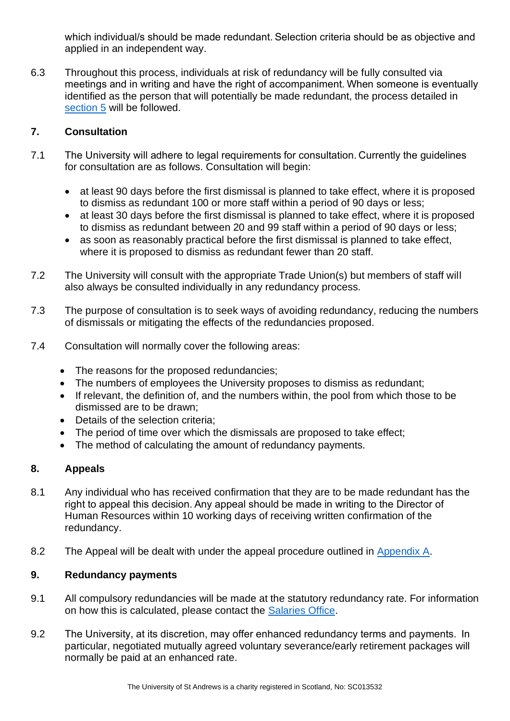which individual/s should be made redundant. Selection criteria should be as objective and applied in an independent way.

6.3 Throughout this process, individuals at risk of redundancy will be fully consulted via meetings and in writing and have the right of accompaniment. When someone is eventually identified as the person that will potentially be made redundant, the process detailed in [section 5](#page-3-0) will be followed.

## <span id="page-4-0"></span>**7. Consultation**

- 7.1 The University will adhere to legal requirements for consultation. Currently the guidelines for consultation are as follows. Consultation will begin:
	- at least 90 days before the first dismissal is planned to take effect, where it is proposed to dismiss as redundant 100 or more staff within a period of 90 days or less;
	- at least 30 days before the first dismissal is planned to take effect, where it is proposed to dismiss as redundant between 20 and 99 staff within a period of 90 days or less;
	- as soon as reasonably practical before the first dismissal is planned to take effect, where it is proposed to dismiss as redundant fewer than 20 staff.
- 7.2 The University will consult with the appropriate Trade Union(s) but members of staff will also always be consulted individually in any redundancy process.
- 7.3 The purpose of consultation is to seek ways of avoiding redundancy, reducing the numbers of dismissals or mitigating the effects of the redundancies proposed.
- 7.4 Consultation will normally cover the following areas:
	- The reasons for the proposed redundancies;
	- The numbers of employees the University proposes to dismiss as redundant;
	- If relevant, the definition of, and the numbers within, the pool from which those to be dismissed are to be drawn;
	- Details of the selection criteria:
	- The period of time over which the dismissals are proposed to take effect;
	- The method of calculating the amount of redundancy payments.

## <span id="page-4-1"></span>**8. Appeals**

- 8.1 Any individual who has received confirmation that they are to be made redundant has the right to appeal this decision. Any appeal should be made in writing to the Director of Human Resources within 10 working days of receiving written confirmation of the redundancy.
- 8.2 The Appeal will be dealt with under the appeal procedure outlined in [Appendix A.](#page-6-0)

#### <span id="page-4-2"></span>**9. Redundancy payments**

- 9.1 All compulsory redundancies will be made at the statutory redundancy rate. For information on how this is calculated, please contact the [Salaries Office.](https://www.st-andrews.ac.uk/hr/salariesandpensions/)
- 9.2 The University, at its discretion, may offer enhanced redundancy terms and payments.  In particular, negotiated mutually agreed voluntary severance/early retirement packages will normally be paid at an enhanced rate.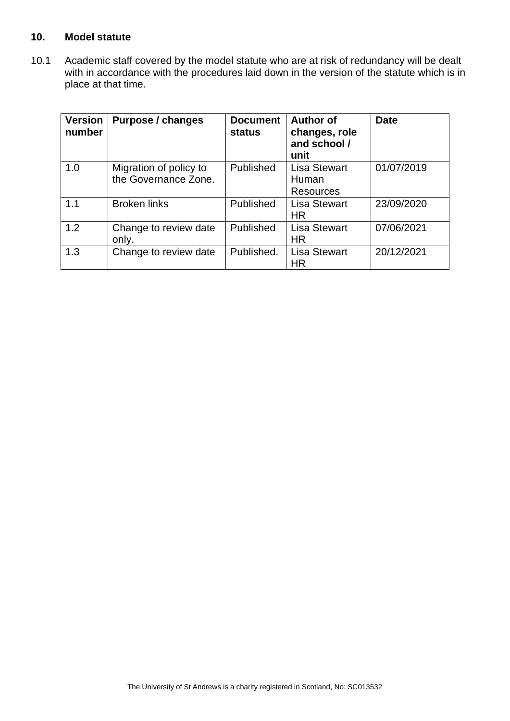#### <span id="page-5-0"></span>**10. Model statute**

10.1 Academic staff covered by the model statute who are at risk of redundancy will be dealt with in accordance with the procedures laid down in the version of the statute which is in place at that time.

| <b>Version</b><br>number | Purpose / changes                              | <b>Document</b><br>status | <b>Author of</b><br>changes, role<br>and school /<br>unit | <b>Date</b> |
|--------------------------|------------------------------------------------|---------------------------|-----------------------------------------------------------|-------------|
| 1.0                      | Migration of policy to<br>the Governance Zone. | Published                 | <b>Lisa Stewart</b><br>Human<br><b>Resources</b>          | 01/07/2019  |
| 1.1                      | <b>Broken links</b>                            | Published                 | <b>Lisa Stewart</b><br>ΗR                                 | 23/09/2020  |
| 1.2                      | Change to review date<br>only.                 | Published                 | <b>Lisa Stewart</b><br>ΗR                                 | 07/06/2021  |
| 1.3                      | Change to review date                          | Published.                | <b>Lisa Stewart</b><br>HR                                 | 20/12/2021  |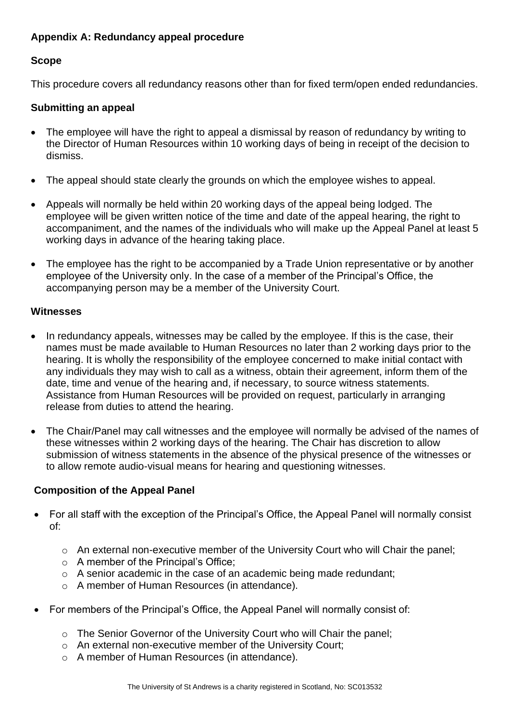## <span id="page-6-0"></span>**Appendix A: Redundancy appeal procedure**

## **Scope**

This procedure covers all redundancy reasons other than for fixed term/open ended redundancies.

## **Submitting an appeal**

- The employee will have the right to appeal a dismissal by reason of redundancy by writing to the Director of Human Resources within 10 working days of being in receipt of the decision to dismiss.
- The appeal should state clearly the grounds on which the employee wishes to appeal.
- Appeals will normally be held within 20 working days of the appeal being lodged. The employee will be given written notice of the time and date of the appeal hearing, the right to accompaniment, and the names of the individuals who will make up the Appeal Panel at least 5 working days in advance of the hearing taking place.
- The employee has the right to be accompanied by a Trade Union representative or by another employee of the University only. In the case of a member of the Principal's Office, the accompanying person may be a member of the University Court.

## **Witnesses**

- In redundancy appeals, witnesses may be called by the employee. If this is the case, their names must be made available to Human Resources no later than 2 working days prior to the hearing. It is wholly the responsibility of the employee concerned to make initial contact with any individuals they may wish to call as a witness, obtain their agreement, inform them of the date, time and venue of the hearing and, if necessary, to source witness statements. Assistance from Human Resources will be provided on request, particularly in arranging release from duties to attend the hearing.
- The Chair/Panel may call witnesses and the employee will normally be advised of the names of these witnesses within 2 working days of the hearing. The Chair has discretion to allow submission of witness statements in the absence of the physical presence of the witnesses or to allow remote audio-visual means for hearing and questioning witnesses.

## **Composition of the Appeal Panel**

- For all staff with the exception of the Principal's Office, the Appeal Panel will normally consist of:
	- o An external non-executive member of the University Court who will Chair the panel;
	- o A member of the Principal's Office;
	- o A senior academic in the case of an academic being made redundant;
	- o A member of Human Resources (in attendance).
- For members of the Principal's Office, the Appeal Panel will normally consist of:
	- o The Senior Governor of the University Court who will Chair the panel;
	- o An external non-executive member of the University Court;
	- o A member of Human Resources (in attendance).